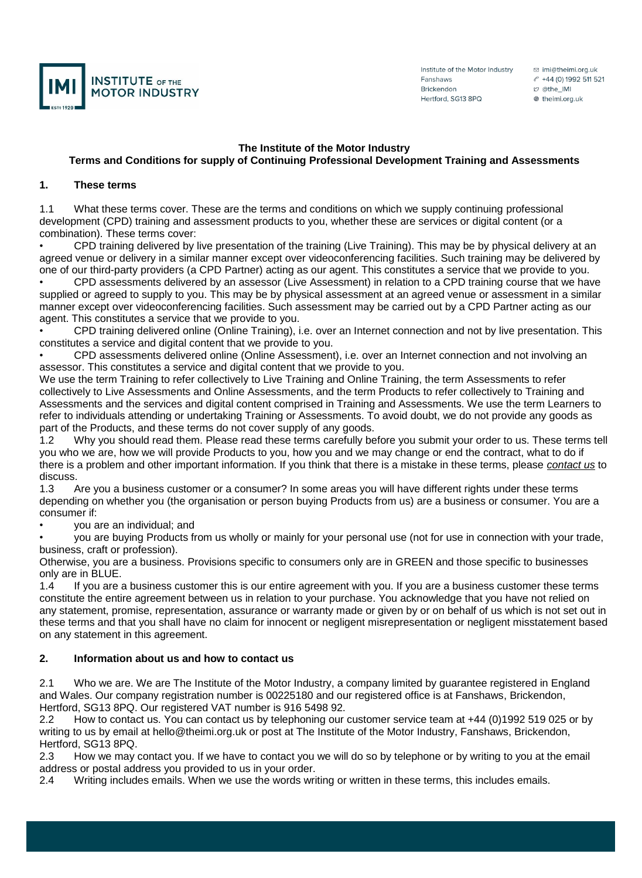

Institute of the Motor Industry Fanshaws **Brickendon** Hertford, SG13 8PQ

□ imi@theimi.org.uk ℰ +44 (0) 1992 511 521 හ @the\_IMI <sup>●</sup> theimi.org.uk

#### **The Institute of the Motor Industry**

# **Terms and Conditions for supply of Continuing Professional Development Training and Assessments**

#### **1. These terms**

1.1 What these terms cover. These are the terms and conditions on which we supply continuing professional development (CPD) training and assessment products to you, whether these are services or digital content (or a combination). These terms cover:

• CPD training delivered by live presentation of the training (Live Training). This may be by physical delivery at an agreed venue or delivery in a similar manner except over videoconferencing facilities. Such training may be delivered by one of our third-party providers (a CPD Partner) acting as our agent. This constitutes a service that we provide to you.

• CPD assessments delivered by an assessor (Live Assessment) in relation to a CPD training course that we have supplied or agreed to supply to you. This may be by physical assessment at an agreed venue or assessment in a similar manner except over videoconferencing facilities. Such assessment may be carried out by a CPD Partner acting as our agent. This constitutes a service that we provide to you.

• CPD training delivered online (Online Training), i.e. over an Internet connection and not by live presentation. This constitutes a service and digital content that we provide to you.

• CPD assessments delivered online (Online Assessment), i.e. over an Internet connection and not involving an assessor. This constitutes a service and digital content that we provide to you.

We use the term Training to refer collectively to Live Training and Online Training, the term Assessments to refer collectively to Live Assessments and Online Assessments, and the term Products to refer collectively to Training and Assessments and the services and digital content comprised in Training and Assessments. We use the term Learners to refer to individuals attending or undertaking Training or Assessments. To avoid doubt, we do not provide any goods as part of the Products, and these terms do not cover supply of any goods.

1.2 Why you should read them. Please read these terms carefully before you submit your order to us. These terms tell you who we are, how we will provide Products to you, how you and we may change or end the contract, what to do if there is a problem and other important information. If you think that there is a mistake in these terms, please *[contact us](https://tide.theimi.org.uk/about-imi/contact-us)* to discuss.

1.3 Are you a business customer or a consumer? In some areas you will have different rights under these terms depending on whether you (the organisation or person buying Products from us) are a business or consumer. You are a consumer if:

• you are an individual; and

• you are buying Products from us wholly or mainly for your personal use (not for use in connection with your trade, business, craft or profession).

Otherwise, you are a business. Provisions specific to consumers only are in GREEN and those specific to businesses only are in BLUE.

1.4 If you are a business customer this is our entire agreement with you. If you are a business customer these terms constitute the entire agreement between us in relation to your purchase. You acknowledge that you have not relied on any statement, promise, representation, assurance or warranty made or given by or on behalf of us which is not set out in these terms and that you shall have no claim for innocent or negligent misrepresentation or negligent misstatement based on any statement in this agreement.

### **2. Information about us and how to contact us**

2.1 Who we are. We are The Institute of the Motor Industry, a company limited by guarantee registered in England and Wales. Our company registration number is 00225180 and our registered office is at Fanshaws, Brickendon, Hertford, SG13 8PQ. Our registered VAT number is 916 5498 92.

2.2 How to contact us. You can contact us by telephoning our customer service team at +44 (0)1992 519 025 or by writing to us by email at hello@theimi.org.uk or post at The Institute of the Motor Industry, Fanshaws, Brickendon, Hertford, SG13 8PQ.

2.3 How we may contact you. If we have to contact you we will do so by telephone or by writing to you at the email address or postal address you provided to us in your order.

2.4 Writing includes emails. When we use the words writing or written in these terms, this includes emails.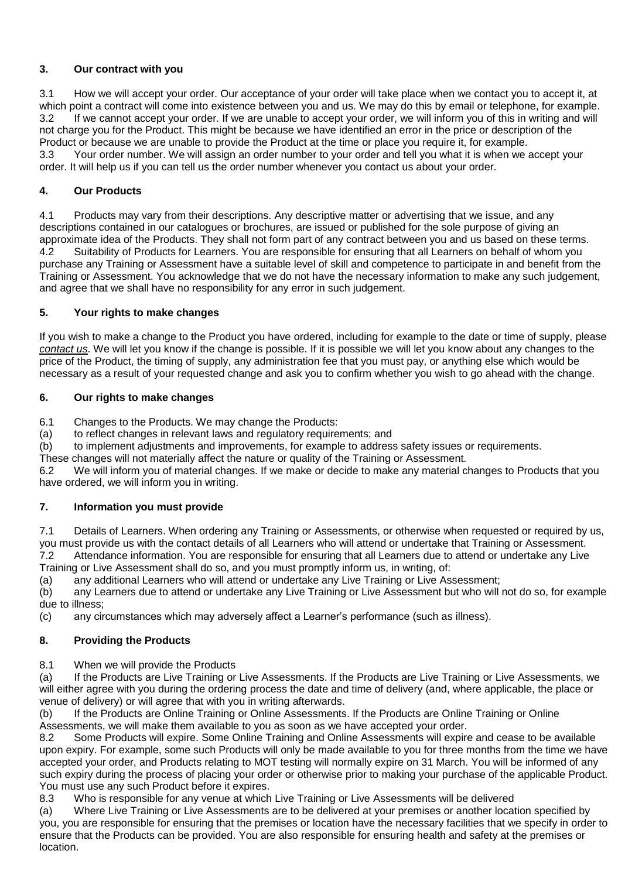# **3. Our contract with you**

3.1 How we will accept your order. Our acceptance of your order will take place when we contact you to accept it, at which point a contract will come into existence between you and us. We may do this by email or telephone, for example. 3.2 If we cannot accept your order. If we are unable to accept your order, we will inform you of this in writing and will not charge you for the Product. This might be because we have identified an error in the price or description of the Product or because we are unable to provide the Product at the time or place you require it, for example. 3.3 Your order number. We will assign an order number to your order and tell you what it is when we accept your order. It will help us if you can tell us the order number whenever you contact us about your order.

# **4. Our Products**

4.1 Products may vary from their descriptions. Any descriptive matter or advertising that we issue, and any descriptions contained in our catalogues or brochures, are issued or published for the sole purpose of giving an approximate idea of the Products. They shall not form part of any contract between you and us based on these terms. 4.2 Suitability of Products for Learners. You are responsible for ensuring that all Learners on behalf of whom you purchase any Training or Assessment have a suitable level of skill and competence to participate in and benefit from the Training or Assessment. You acknowledge that we do not have the necessary information to make any such judgement, and agree that we shall have no responsibility for any error in such judgement.

### **5. Your rights to make changes**

If you wish to make a change to the Product you have ordered, including for example to the date or time of supply, please *[contact us](https://tide.theimi.org.uk/about-imi/contact-us)*. We will let you know if the change is possible. If it is possible we will let you know about any changes to the price of the Product, the timing of supply, any administration fee that you must pay, or anything else which would be necessary as a result of your requested change and ask you to confirm whether you wish to go ahead with the change.

### **6. Our rights to make changes**

6.1 Changes to the Products. We may change the Products:

(a) to reflect changes in relevant laws and regulatory requirements; and

(b) to implement adjustments and improvements, for example to address safety issues or requirements.

These changes will not materially affect the nature or quality of the Training or Assessment.

6.2 We will inform you of material changes. If we make or decide to make any material changes to Products that you have ordered, we will inform you in writing.

### **7. Information you must provide**

7.1 Details of Learners. When ordering any Training or Assessments, or otherwise when requested or required by us, you must provide us with the contact details of all Learners who will attend or undertake that Training or Assessment. 7.2 Attendance information. You are responsible for ensuring that all Learners due to attend or undertake any Live Training or Live Assessment shall do so, and you must promptly inform us, in writing, of:

(a) any additional Learners who will attend or undertake any Live Training or Live Assessment;<br>(b) any Learners due to attend or undertake any Live Training or Live Assessment but who will any Learners due to attend or undertake any Live Training or Live Assessment but who will not do so, for example due to illness;

(c) any circumstances which may adversely affect a Learner's performance (such as illness).

# **8. Providing the Products**

8.1 When we will provide the Products

(a) If the Products are Live Training or Live Assessments. If the Products are Live Training or Live Assessments, we will either agree with you during the ordering process the date and time of delivery (and, where applicable, the place or venue of delivery) or will agree that with you in writing afterwards.

(b) If the Products are Online Training or Online Assessments. If the Products are Online Training or Online Assessments, we will make them available to you as soon as we have accepted your order.

8.2 Some Products will expire. Some Online Training and Online Assessments will expire and cease to be available upon expiry. For example, some such Products will only be made available to you for three months from the time we have accepted your order, and Products relating to MOT testing will normally expire on 31 March. You will be informed of any such expiry during the process of placing your order or otherwise prior to making your purchase of the applicable Product. You must use any such Product before it expires.

8.3 Who is responsible for any venue at which Live Training or Live Assessments will be delivered

(a) Where Live Training or Live Assessments are to be delivered at your premises or another location specified by you, you are responsible for ensuring that the premises or location have the necessary facilities that we specify in order to ensure that the Products can be provided. You are also responsible for ensuring health and safety at the premises or location.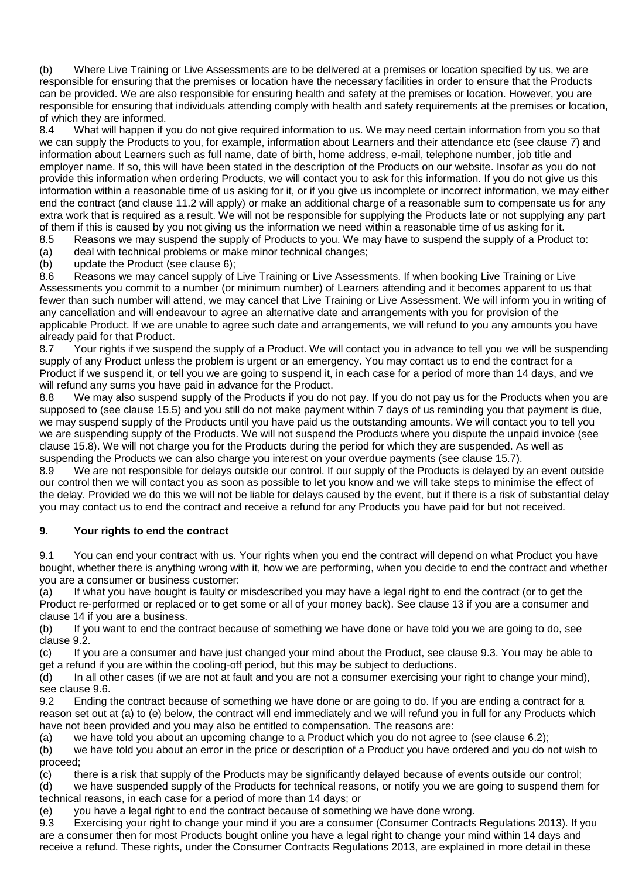(b) Where Live Training or Live Assessments are to be delivered at a premises or location specified by us, we are responsible for ensuring that the premises or location have the necessary facilities in order to ensure that the Products can be provided. We are also responsible for ensuring health and safety at the premises or location. However, you are responsible for ensuring that individuals attending comply with health and safety requirements at the premises or location, of which they are informed.<br>8.4 What will happen if

What will happen if you do not give required information to us. We may need certain information from you so that we can supply the Products to you, for example, information about Learners and their attendance etc (see clause 7) and information about Learners such as full name, date of birth, home address, e-mail, telephone number, job title and employer name. If so, this will have been stated in the description of the Products on our website. Insofar as you do not provide this information when ordering Products, we will contact you to ask for this information. If you do not give us this information within a reasonable time of us asking for it, or if you give us incomplete or incorrect information, we may either end the contract (and clause 11.2 will apply) or make an additional charge of a reasonable sum to compensate us for any extra work that is required as a result. We will not be responsible for supplying the Products late or not supplying any part of them if this is caused by you not giving us the information we need within a reasonable time of us asking for it.

8.5 Reasons we may suspend the supply of Products to you. We may have to suspend the supply of a Product to: (a) deal with technical problems or make minor technical changes;

(b) update the Product (see clause  $6$ );<br>8.6 Reasons we may cancel supply of Reasons we may cancel supply of Live Training or Live Assessments. If when booking Live Training or Live Assessments you commit to a number (or minimum number) of Learners attending and it becomes apparent to us that fewer than such number will attend, we may cancel that Live Training or Live Assessment. We will inform you in writing of any cancellation and will endeavour to agree an alternative date and arrangements with you for provision of the applicable Product. If we are unable to agree such date and arrangements, we will refund to you any amounts you have already paid for that Product.

8.7 Your rights if we suspend the supply of a Product. We will contact you in advance to tell you we will be suspending supply of any Product unless the problem is urgent or an emergency. You may contact us to end the contract for a Product if we suspend it, or tell you we are going to suspend it, in each case for a period of more than 14 days, and we will refund any sums you have paid in advance for the Product.

8.8 We may also suspend supply of the Products if you do not pay. If you do not pay us for the Products when you are supposed to (see clause 15.5) and you still do not make payment within 7 days of us reminding you that payment is due, we may suspend supply of the Products until you have paid us the outstanding amounts. We will contact you to tell you we are suspending supply of the Products. We will not suspend the Products where you dispute the unpaid invoice (see clause 15.8). We will not charge you for the Products during the period for which they are suspended. As well as suspending the Products we can also charge you interest on your overdue payments (see clause 15.7).

8.9 We are not responsible for delays outside our control. If our supply of the Products is delayed by an event outside our control then we will contact you as soon as possible to let you know and we will take steps to minimise the effect of the delay. Provided we do this we will not be liable for delays caused by the event, but if there is a risk of substantial delay you may contact us to end the contract and receive a refund for any Products you have paid for but not received.

# **9. Your rights to end the contract**

9.1 You can end your contract with us. Your rights when you end the contract will depend on what Product you have bought, whether there is anything wrong with it, how we are performing, when you decide to end the contract and whether you are a consumer or business customer:

(a) If what you have bought is faulty or misdescribed you may have a legal right to end the contract (or to get the Product re-performed or replaced or to get some or all of your money back). See clause 13 if you are a consumer and clause 14 if you are a business.

(b) If you want to end the contract because of something we have done or have told you we are going to do, see clause 9.2.

(c) If you are a consumer and have just changed your mind about the Product, see clause 9.3. You may be able to get a refund if you are within the cooling-off period, but this may be subject to deductions.

(d) In all other cases (if we are not at fault and you are not a consumer exercising your right to change your mind), see clause 9.6.

9.2 Ending the contract because of something we have done or are going to do. If you are ending a contract for a reason set out at (a) to (e) below, the contract will end immediately and we will refund you in full for any Products which have not been provided and you may also be entitled to compensation. The reasons are:

(a) we have told you about an upcoming change to a Product which you do not agree to (see clause 6.2);

(b) we have told you about an error in the price or description of a Product you have ordered and you do not wish to proceed;

(c) there is a risk that supply of the Products may be significantly delayed because of events outside our control;

(d) we have suspended supply of the Products for technical reasons, or notify you we are going to suspend them for technical reasons, in each case for a period of more than 14 days; or

(e) you have a legal right to end the contract because of something we have done wrong.

9.3 Exercising your right to change your mind if you are a consumer (Consumer Contracts Regulations 2013). If you are a consumer then for most Products bought online you have a legal right to change your mind within 14 days and receive a refund. These rights, under the Consumer Contracts Regulations 2013, are explained in more detail in these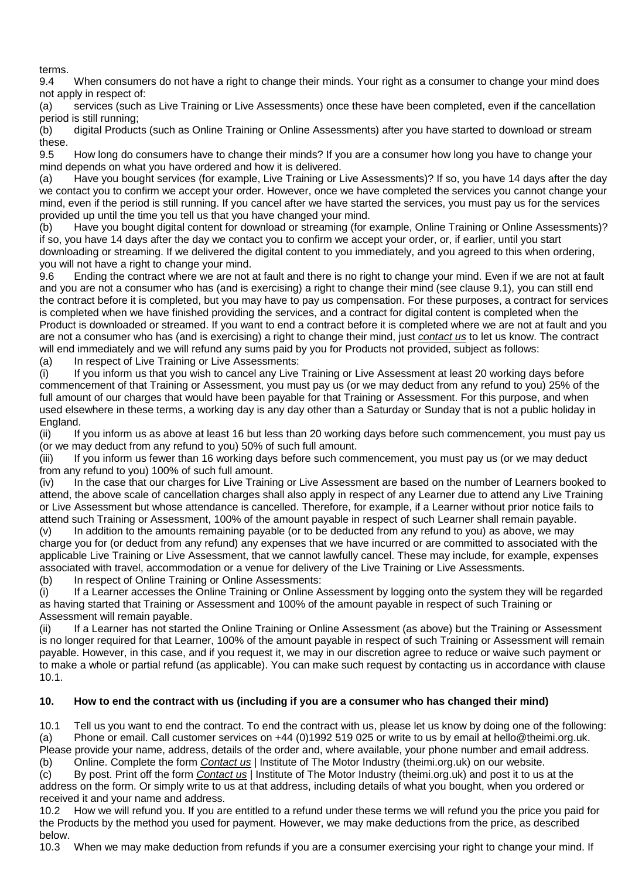terms.

9.4 When consumers do not have a right to change their minds. Your right as a consumer to change your mind does not apply in respect of:

(a) services (such as Live Training or Live Assessments) once these have been completed, even if the cancellation period is still running;

(b) digital Products (such as Online Training or Online Assessments) after you have started to download or stream these.

9.5 How long do consumers have to change their minds? If you are a consumer how long you have to change your mind depends on what you have ordered and how it is delivered.

(a) Have you bought services (for example, Live Training or Live Assessments)? If so, you have 14 days after the day we contact you to confirm we accept your order. However, once we have completed the services you cannot change your mind, even if the period is still running. If you cancel after we have started the services, you must pay us for the services provided up until the time you tell us that you have changed your mind.

(b) Have you bought digital content for download or streaming (for example, Online Training or Online Assessments)? if so, you have 14 days after the day we contact you to confirm we accept your order, or, if earlier, until you start downloading or streaming. If we delivered the digital content to you immediately, and you agreed to this when ordering, you will not have a right to change your mind.<br>9.6 Ending the contract where we are not

Ending the contract where we are not at fault and there is no right to change your mind. Even if we are not at fault and you are not a consumer who has (and is exercising) a right to change their mind (see clause 9.1), you can still end the contract before it is completed, but you may have to pay us compensation. For these purposes, a contract for services is completed when we have finished providing the services, and a contract for digital content is completed when the Product is downloaded or streamed. If you want to end a contract before it is completed where we are not at fault and you are not a consumer who has (and is exercising) a right to change their mind, just *[contact us](https://tide.theimi.org.uk/about-imi/contact-us)* to let us know. The contract will end immediately and we will refund any sums paid by you for Products not provided, subject as follows:

(a) In respect of Live Training or Live Assessments:

(i) If you inform us that you wish to cancel any Live Training or Live Assessment at least 20 working days before commencement of that Training or Assessment, you must pay us (or we may deduct from any refund to you) 25% of the full amount of our charges that would have been payable for that Training or Assessment. For this purpose, and when used elsewhere in these terms, a working day is any day other than a Saturday or Sunday that is not a public holiday in England.

(ii) If you inform us as above at least 16 but less than 20 working days before such commencement, you must pay us (or we may deduct from any refund to you) 50% of such full amount.

(iii) If you inform us fewer than 16 working days before such commencement, you must pay us (or we may deduct from any refund to you) 100% of such full amount.

(iv) In the case that our charges for Live Training or Live Assessment are based on the number of Learners booked to attend, the above scale of cancellation charges shall also apply in respect of any Learner due to attend any Live Training or Live Assessment but whose attendance is cancelled. Therefore, for example, if a Learner without prior notice fails to attend such Training or Assessment, 100% of the amount payable in respect of such Learner shall remain payable.

(v) In addition to the amounts remaining payable (or to be deducted from any refund to you) as above, we may charge you for (or deduct from any refund) any expenses that we have incurred or are committed to associated with the applicable Live Training or Live Assessment, that we cannot lawfully cancel. These may include, for example, expenses associated with travel, accommodation or a venue for delivery of the Live Training or Live Assessments. (b) In respect of Online Training or Online Assessments:

(i) If a Learner accesses the Online Training or Online Assessment by logging onto the system they will be regarded as having started that Training or Assessment and 100% of the amount payable in respect of such Training or Assessment will remain payable.

(ii) If a Learner has not started the Online Training or Online Assessment (as above) but the Training or Assessment is no longer required for that Learner, 100% of the amount payable in respect of such Training or Assessment will remain payable. However, in this case, and if you request it, we may in our discretion agree to reduce or waive such payment or to make a whole or partial refund (as applicable). You can make such request by contacting us in accordance with clause 10.1.

### **10. How to end the contract with us (including if you are a consumer who has changed their mind)**

10.1 Tell us you want to end the contract. To end the contract with us, please let us know by doing one of the following: (a) Phone or email. Call customer services on +44 (0)1992 519 025 or write to us by email at hello@theimi.org.uk. Please provide your name, address, details of the order and, where available, your phone number and email address.

(b) Online. Complete the form *[Contact us](https://tide.theimi.org.uk/about-imi/contact-us)* | Institute of The Motor Industry (theimi.org.uk) on our website.

(c) By post. Print off the form *[Contact us](https://tide.theimi.org.uk/about-imi/contact-us)* | Institute of The Motor Industry (theimi.org.uk) and post it to us at the address on the form. Or simply write to us at that address, including details of what you bought, when you ordered or received it and your name and address.

10.2 How we will refund you. If you are entitled to a refund under these terms we will refund you the price you paid for the Products by the method you used for payment. However, we may make deductions from the price, as described below.

10.3 When we may make deduction from refunds if you are a consumer exercising your right to change your mind. If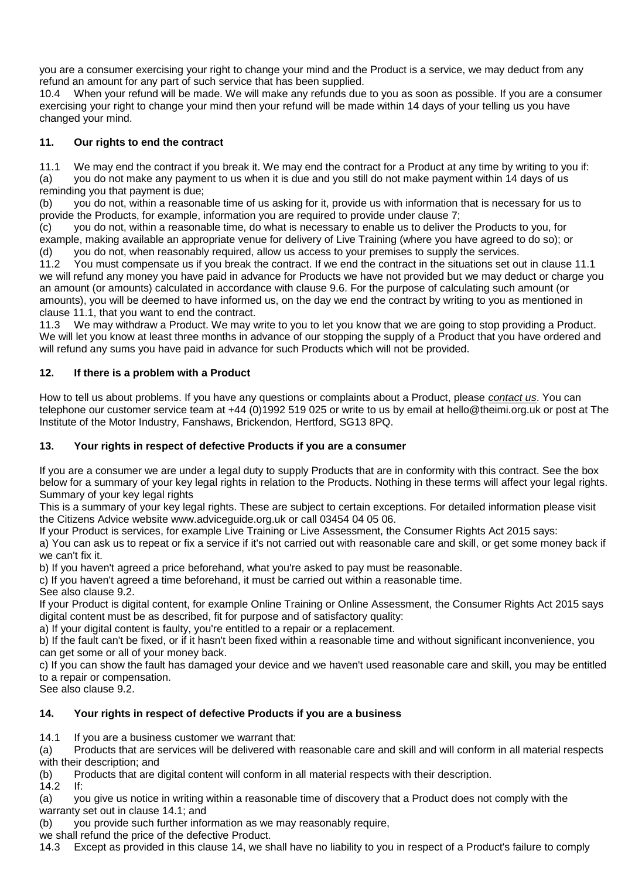you are a consumer exercising your right to change your mind and the Product is a service, we may deduct from any refund an amount for any part of such service that has been supplied.

When your refund will be made. We will make any refunds due to you as soon as possible. If you are a consumer exercising your right to change your mind then your refund will be made within 14 days of your telling us you have changed your mind.

# **11. Our rights to end the contract**

11.1 We may end the contract if you break it. We may end the contract for a Product at any time by writing to you if: (a) you do not make any payment to us when it is due and you still do not make payment within 14 days of us reminding you that payment is due;

(b) you do not, within a reasonable time of us asking for it, provide us with information that is necessary for us to provide the Products, for example, information you are required to provide under clause 7;

(c) you do not, within a reasonable time, do what is necessary to enable us to deliver the Products to you, for example, making available an appropriate venue for delivery of Live Training (where you have agreed to do so); or (d) you do not, when reasonably required, allow us access to your premises to supply the services.

11.2 You must compensate us if you break the contract. If we end the contract in the situations set out in clause 11.1 we will refund any money you have paid in advance for Products we have not provided but we may deduct or charge you an amount (or amounts) calculated in accordance with clause 9.6. For the purpose of calculating such amount (or amounts), you will be deemed to have informed us, on the day we end the contract by writing to you as mentioned in clause 11.1, that you want to end the contract.

11.3 We may withdraw a Product. We may write to you to let you know that we are going to stop providing a Product. We will let you know at least three months in advance of our stopping the supply of a Product that you have ordered and will refund any sums you have paid in advance for such Products which will not be provided.

### **12. If there is a problem with a Product**

How to tell us about problems. If you have any questions or complaints about a Product, please *[contact us](https://tide.theimi.org.uk/about-imi/contact-us)*. You can telephone our customer service team at +44 (0)1992 519 025 or write to us by email at hello@theimi.org.uk or post at The Institute of the Motor Industry, Fanshaws, Brickendon, Hertford, SG13 8PQ.

### **13. Your rights in respect of defective Products if you are a consumer**

If you are a consumer we are under a legal duty to supply Products that are in conformity with this contract. See the box below for a summary of your key legal rights in relation to the Products. Nothing in these terms will affect your legal rights. Summary of your key legal rights

This is a summary of your key legal rights. These are subject to certain exceptions. For detailed information please visit the Citizens Advice website www.adviceguide.org.uk or call 03454 04 05 06.

If your Product is services, for example Live Training or Live Assessment, the Consumer Rights Act 2015 says:

a) You can ask us to repeat or fix a service if it's not carried out with reasonable care and skill, or get some money back if we can't fix it.

b) If you haven't agreed a price beforehand, what you're asked to pay must be reasonable.

c) If you haven't agreed a time beforehand, it must be carried out within a reasonable time.

See also clause 9.2.

If your Product is digital content, for example Online Training or Online Assessment, the Consumer Rights Act 2015 says digital content must be as described, fit for purpose and of satisfactory quality:

a) If your digital content is faulty, you're entitled to a repair or a replacement.

b) If the fault can't be fixed, or if it hasn't been fixed within a reasonable time and without significant inconvenience, you can get some or all of your money back.

c) If you can show the fault has damaged your device and we haven't used reasonable care and skill, you may be entitled to a repair or compensation.

See also clause 9.2.

# **14. Your rights in respect of defective Products if you are a business**

14.1 If you are a business customer we warrant that:

(a) Products that are services will be delivered with reasonable care and skill and will conform in all material respects with their description; and

(b) Products that are digital content will conform in all material respects with their description.

14.2 If:

(a) you give us notice in writing within a reasonable time of discovery that a Product does not comply with the warranty set out in clause 14.1; and

(b) you provide such further information as we may reasonably require,

we shall refund the price of the defective Product.

14.3 Except as provided in this clause 14, we shall have no liability to you in respect of a Product's failure to comply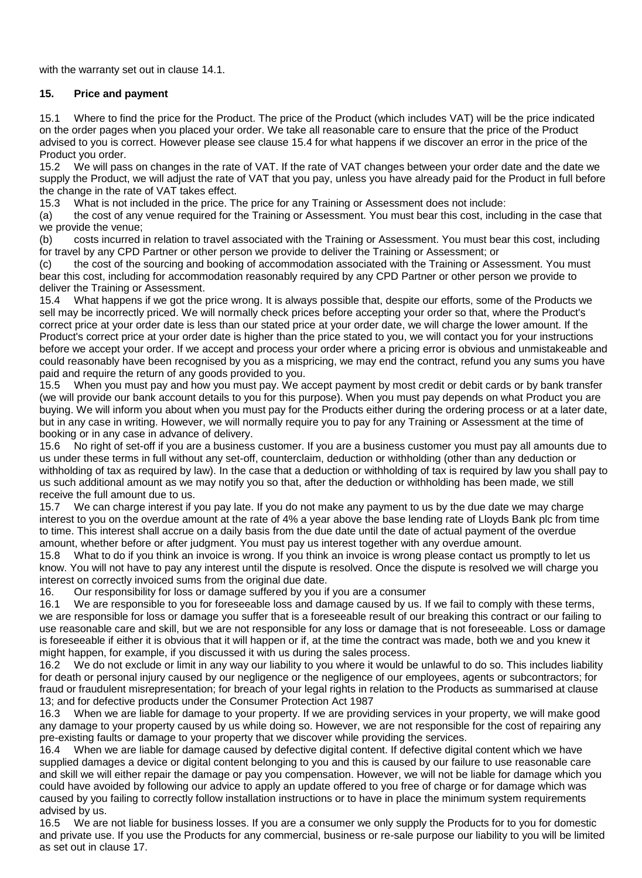with the warranty set out in clause 14.1.

#### **15. Price and payment**

15.1 Where to find the price for the Product. The price of the Product (which includes VAT) will be the price indicated on the order pages when you placed your order. We take all reasonable care to ensure that the price of the Product advised to you is correct. However please see clause 15.4 for what happens if we discover an error in the price of the Product you order.

15.2 We will pass on changes in the rate of VAT. If the rate of VAT changes between your order date and the date we supply the Product, we will adjust the rate of VAT that you pay, unless you have already paid for the Product in full before the change in the rate of VAT takes effect.

15.3 What is not included in the price. The price for any Training or Assessment does not include:

(a) the cost of any venue required for the Training or Assessment. You must bear this cost, including in the case that we provide the venue;

(b) costs incurred in relation to travel associated with the Training or Assessment. You must bear this cost, including for travel by any CPD Partner or other person we provide to deliver the Training or Assessment; or

(c) the cost of the sourcing and booking of accommodation associated with the Training or Assessment. You must bear this cost, including for accommodation reasonably required by any CPD Partner or other person we provide to deliver the Training or Assessment.

15.4 What happens if we got the price wrong. It is always possible that, despite our efforts, some of the Products we sell may be incorrectly priced. We will normally check prices before accepting your order so that, where the Product's correct price at your order date is less than our stated price at your order date, we will charge the lower amount. If the Product's correct price at your order date is higher than the price stated to you, we will contact you for your instructions before we accept your order. If we accept and process your order where a pricing error is obvious and unmistakeable and could reasonably have been recognised by you as a mispricing, we may end the contract, refund you any sums you have paid and require the return of any goods provided to you.

15.5 When you must pay and how you must pay. We accept payment by most credit or debit cards or by bank transfer (we will provide our bank account details to you for this purpose). When you must pay depends on what Product you are buying. We will inform you about when you must pay for the Products either during the ordering process or at a later date, but in any case in writing. However, we will normally require you to pay for any Training or Assessment at the time of booking or in any case in advance of delivery.

15.6 No right of set-off if you are a business customer. If you are a business customer you must pay all amounts due to us under these terms in full without any set-off, counterclaim, deduction or withholding (other than any deduction or withholding of tax as required by law). In the case that a deduction or withholding of tax is required by law you shall pay to us such additional amount as we may notify you so that, after the deduction or withholding has been made, we still receive the full amount due to us.

15.7 We can charge interest if you pay late. If you do not make any payment to us by the due date we may charge interest to you on the overdue amount at the rate of 4% a year above the base lending rate of Lloyds Bank plc from time to time. This interest shall accrue on a daily basis from the due date until the date of actual payment of the overdue amount, whether before or after judgment. You must pay us interest together with any overdue amount.

15.8 What to do if you think an invoice is wrong. If you think an invoice is wrong please contact us promptly to let us know. You will not have to pay any interest until the dispute is resolved. Once the dispute is resolved we will charge you interest on correctly invoiced sums from the original due date.

16. Our responsibility for loss or damage suffered by you if you are a consumer

16.1 We are responsible to you for foreseeable loss and damage caused by us. If we fail to comply with these terms, we are responsible for loss or damage you suffer that is a foreseeable result of our breaking this contract or our failing to use reasonable care and skill, but we are not responsible for any loss or damage that is not foreseeable. Loss or damage is foreseeable if either it is obvious that it will happen or if, at the time the contract was made, both we and you knew it might happen, for example, if you discussed it with us during the sales process.

16.2 We do not exclude or limit in any way our liability to you where it would be unlawful to do so. This includes liability for death or personal injury caused by our negligence or the negligence of our employees, agents or subcontractors; for fraud or fraudulent misrepresentation; for breach of your legal rights in relation to the Products as summarised at clause 13; and for defective products under the Consumer Protection Act 1987

16.3 When we are liable for damage to your property. If we are providing services in your property, we will make good any damage to your property caused by us while doing so. However, we are not responsible for the cost of repairing any pre-existing faults or damage to your property that we discover while providing the services.

16.4 When we are liable for damage caused by defective digital content. If defective digital content which we have supplied damages a device or digital content belonging to you and this is caused by our failure to use reasonable care and skill we will either repair the damage or pay you compensation. However, we will not be liable for damage which you could have avoided by following our advice to apply an update offered to you free of charge or for damage which was caused by you failing to correctly follow installation instructions or to have in place the minimum system requirements advised by us.

16.5 We are not liable for business losses. If you are a consumer we only supply the Products for to you for domestic and private use. If you use the Products for any commercial, business or re-sale purpose our liability to you will be limited as set out in clause 17.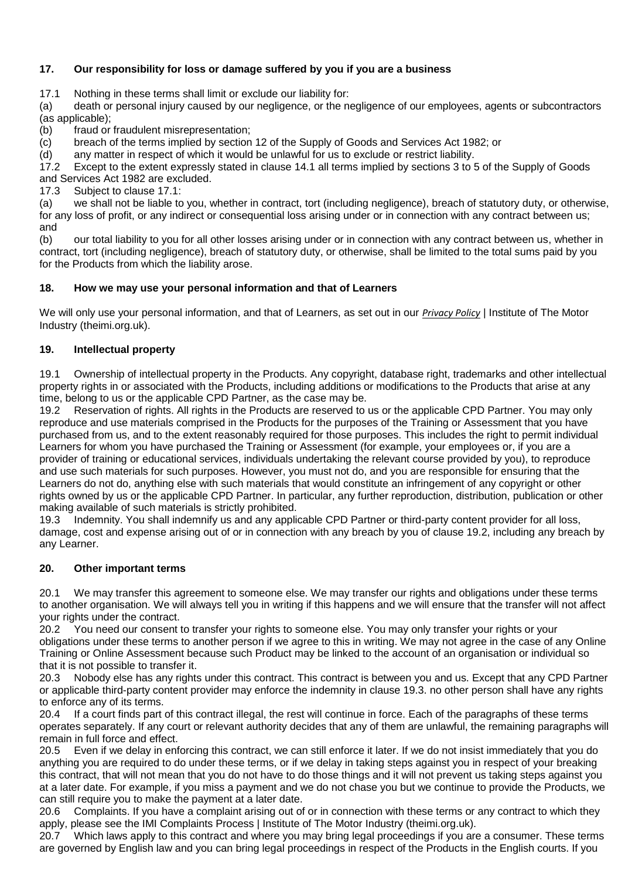# **17. Our responsibility for loss or damage suffered by you if you are a business**

17.1 Nothing in these terms shall limit or exclude our liability for:

(a) death or personal injury caused by our negligence, or the negligence of our employees, agents or subcontractors (as applicable);

(b) fraud or fraudulent misrepresentation;

(c) breach of the terms implied by section 12 of the Supply of Goods and Services Act 1982; or

(d) any matter in respect of which it would be unlawful for us to exclude or restrict liability.

17.2 Except to the extent expressly stated in clause 14.1 all terms implied by sections 3 to 5 of the Supply of Goods and Services Act 1982 are excluded.

17.3 Subject to clause 17.1:

(a) we shall not be liable to you, whether in contract, tort (including negligence), breach of statutory duty, or otherwise, for any loss of profit, or any indirect or consequential loss arising under or in connection with any contract between us; and

(b) our total liability to you for all other losses arising under or in connection with any contract between us, whether in contract, tort (including negligence), breach of statutory duty, or otherwise, shall be limited to the total sums paid by you for the Products from which the liability arose.

#### **18. How we may use your personal information and that of Learners**

We will only use your personal information, and that of Learners, as set out in our *[Privacy Policy](https://tide.theimi.org.uk/about-imi/campaigns/imi-privacy-policy)* | Institute of The Motor Industry (theimi.org.uk).

#### **19. Intellectual property**

19.1 Ownership of intellectual property in the Products. Any copyright, database right, trademarks and other intellectual property rights in or associated with the Products, including additions or modifications to the Products that arise at any time, belong to us or the applicable CPD Partner, as the case may be.<br>19.2 Reservation of rights. All rights in the Products are reserved to u

Reservation of rights. All rights in the Products are reserved to us or the applicable CPD Partner. You may only reproduce and use materials comprised in the Products for the purposes of the Training or Assessment that you have purchased from us, and to the extent reasonably required for those purposes. This includes the right to permit individual Learners for whom you have purchased the Training or Assessment (for example, your employees or, if you are a provider of training or educational services, individuals undertaking the relevant course provided by you), to reproduce and use such materials for such purposes. However, you must not do, and you are responsible for ensuring that the Learners do not do, anything else with such materials that would constitute an infringement of any copyright or other rights owned by us or the applicable CPD Partner. In particular, any further reproduction, distribution, publication or other making available of such materials is strictly prohibited.

19.3 Indemnity. You shall indemnify us and any applicable CPD Partner or third-party content provider for all loss, damage, cost and expense arising out of or in connection with any breach by you of clause 19.2, including any breach by any Learner.

#### **20. Other important terms**

20.1 We may transfer this agreement to someone else. We may transfer our rights and obligations under these terms to another organisation. We will always tell you in writing if this happens and we will ensure that the transfer will not affect your rights under the contract.

20.2 You need our consent to transfer your rights to someone else. You may only transfer your rights or your obligations under these terms to another person if we agree to this in writing. We may not agree in the case of any Online Training or Online Assessment because such Product may be linked to the account of an organisation or individual so that it is not possible to transfer it.

20.3 Nobody else has any rights under this contract. This contract is between you and us. Except that any CPD Partner or applicable third-party content provider may enforce the indemnity in clause 19.3. no other person shall have any rights to enforce any of its terms.

20.4 If a court finds part of this contract illegal, the rest will continue in force. Each of the paragraphs of these terms operates separately. If any court or relevant authority decides that any of them are unlawful, the remaining paragraphs will remain in full force and effect.

20.5 Even if we delay in enforcing this contract, we can still enforce it later. If we do not insist immediately that you do anything you are required to do under these terms, or if we delay in taking steps against you in respect of your breaking this contract, that will not mean that you do not have to do those things and it will not prevent us taking steps against you at a later date. For example, if you miss a payment and we do not chase you but we continue to provide the Products, we can still require you to make the payment at a later date.

20.6 Complaints. If you have a complaint arising out of or in connection with these terms or any contract to which they apply, please see the IMI Complaints Process | Institute of The Motor Industry (theimi.org.uk).

20.7 Which laws apply to this contract and where you may bring legal proceedings if you are a consumer. These terms are governed by English law and you can bring legal proceedings in respect of the Products in the English courts. If you